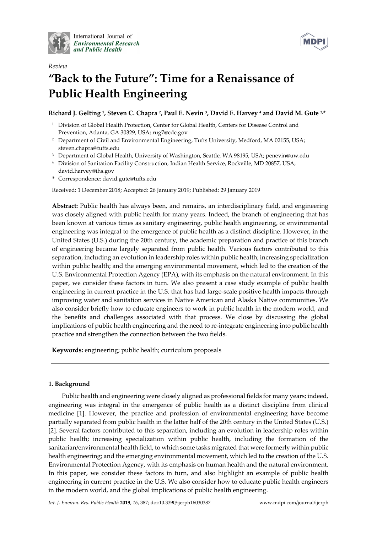

International Journal of **Environmental Research** and Public Health



# *Review* **"Back to the Future": Time for a Renaissance of Public Health Engineering**

## **Richard J. Gelting 1, Steven C. Chapra 2, Paul E. Nevin 3, David E. Harvey 4 and David M. Gute 2, \***

- <sup>1</sup> Division of Global Health Protection, Center for Global Health, Centers for Disease Control and Prevention, Atlanta, GA 30329, USA; rug7@cdc.gov
- <sup>2</sup> Department of Civil and Environmental Engineering, Tufts University, Medford, MA 02155, USA; steven.chapra@tufts.edu
- <sup>3</sup> Department of Global Health, University of Washington, Seattle, WA 98195, USA; penevin@uw.edu
- <sup>4</sup> Division of Sanitation Facility Construction, Indian Health Service, Rockville, MD 20857, USA; david.harvey@ihs.gov
- **\*** Correspondence: david.gute@tufts.edu

Received: 1 December 2018; Accepted: 26 January 2019; Published: 29 January 2019

**Abstract:** Public health has always been, and remains, an interdisciplinary field, and engineering was closely aligned with public health for many years. Indeed, the branch of engineering that has been known at various times as sanitary engineering, public health engineering, or environmental engineering was integral to the emergence of public health as a distinct discipline. However, in the United States (U.S.) during the 20th century, the academic preparation and practice of this branch of engineering became largely separated from public health. Various factors contributed to this separation, including an evolution in leadership roles within public health; increasing specialization within public health; and the emerging environmental movement, which led to the creation of the U.S. Environmental Protection Agency (EPA), with its emphasis on the natural environment. In this paper, we consider these factors in turn. We also present a case study example of public health engineering in current practice in the U.S. that has had large-scale positive health impacts through improving water and sanitation services in Native American and Alaska Native communities. We also consider briefly how to educate engineers to work in public health in the modern world, and the benefits and challenges associated with that process. We close by discussing the global implications of public health engineering and the need to re-integrate engineering into public health practice and strengthen the connection between the two fields.

**Keywords:** engineering; public health; curriculum proposals

## **1. Background**

Public health and engineering were closely aligned as professional fields for many years; indeed, engineering was integral in the emergence of public health as a distinct discipline from clinical medicine [1]. However, the practice and profession of environmental engineering have become partially separated from public health in the latter half of the 20th century in the United States (U.S.) [2]. Several factors contributed to this separation, including an evolution in leadership roles within public health; increasing specialization within public health, including the formation of the sanitarian/environmental health field, to which some tasks migrated that were formerly within public health engineering; and the emerging environmental movement, which led to the creation of the U.S. Environmental Protection Agency, with its emphasis on human health and the natural environment. In this paper, we consider these factors in turn, and also highlight an example of public health engineering in current practice in the U.S. We also consider how to educate public health engineers in the modern world, and the global implications of public health engineering.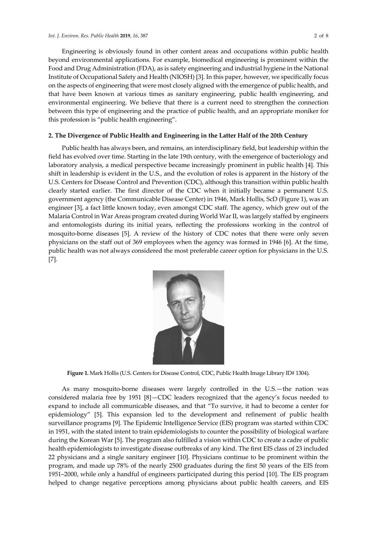Engineering is obviously found in other content areas and occupations within public health beyond environmental applications. For example, biomedical engineering is prominent within the Food and Drug Administration (FDA), as is safety engineering and industrial hygiene in the National Institute of Occupational Safety and Health (NIOSH) [3]. In this paper, however, we specifically focus on the aspects of engineering that were most closely aligned with the emergence of public health, and that have been known at various times as sanitary engineering, public health engineering, and environmental engineering. We believe that there is a current need to strengthen the connection between this type of engineering and the practice of public health, and an appropriate moniker for this profession is "public health engineering".

## **2. The Divergence of Public Health and Engineering in the Latter Half of the 20th Century**

Public health has always been, and remains, an interdisciplinary field, but leadership within the field has evolved over time. Starting in the late 19th century, with the emergence of bacteriology and laboratory analysis, a medical perspective became increasingly prominent in public health [4]. This shift in leadership is evident in the U.S., and the evolution of roles is apparent in the history of the U.S. Centers for Disease Control and Prevention (CDC), although this transition within public health clearly started earlier. The first director of the CDC when it initially became a permanent U.S. government agency (the Communicable Disease Center) in 1946, Mark Hollis, ScD (Figure 1), was an engineer [3], a fact little known today, even amongst CDC staff. The agency, which grew out of the Malaria Control in War Areas program created during World War II, was largely staffed by engineers and entomologists during its initial years, reflecting the professions working in the control of mosquito-borne diseases [5]. A review of the history of CDC notes that there were only seven physicians on the staff out of 369 employees when the agency was formed in 1946 [6]. At the time, public health was not always considered the most preferable career option for physicians in the U.S. [7].



Figure 1. Mark Hollis (U.S. Centers for Disease Control, CDC, Public Health Image Library ID# 1304).

As many mosquito-borne diseases were largely controlled in the U.S.—the nation was considered malaria free by 1951 [8]—CDC leaders recognized that the agency's focus needed to expand to include all communicable diseases, and that "To survive, it had to become a center for epidemiology" [5]. This expansion led to the development and refinement of public health surveillance programs [9]. The Epidemic Intelligence Service (EIS) program was started within CDC in 1951, with the stated intent to train epidemiologists to counter the possibility of biological warfare during the Korean War [5]. The program also fulfilled a vision within CDC to create a cadre of public health epidemiologists to investigate disease outbreaks of any kind. The first EIS class of 23 included 22 physicians and a single sanitary engineer [10]. Physicians continue to be prominent within the program, and made up 78% of the nearly 2500 graduates during the first 50 years of the EIS from 1951–2000, while only a handful of engineers participated during this period [10]. The EIS program helped to change negative perceptions among physicians about public health careers, and EIS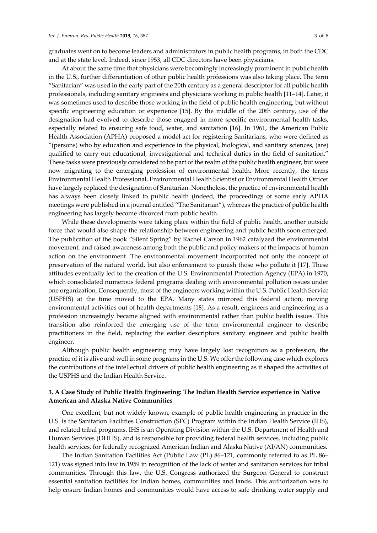graduates went on to become leaders and administrators in public health programs, in both the CDC and at the state level. Indeed, since 1953, all CDC directors have been physicians.

At about the same time that physicians were becomingly increasingly prominent in public health in the U.S., further differentiation of other public health professions was also taking place. The term "Sanitarian" was used in the early part of the 20th century as a general descriptor for all public health professionals, including sanitary engineers and physicians working in public health [11–14]. Later, it was sometimes used to describe those working in the field of public health engineering, but without specific engineering education or experience [15]. By the middle of the 20th century, use of the designation had evolved to describe those engaged in more specific environmental health tasks, especially related to ensuring safe food, water, and sanitation [16]. In 1961, the American Public Health Association (APHA) proposed a model act for registering Sanitarians, who were defined as "(persons) who by education and experience in the physical, biological, and sanitary sciences, (are) qualified to carry out educational, investigational and technical duties in the field of sanitation." These tasks were previously considered to be part of the realm of the public health engineer, but were now migrating to the emerging profession of environmental health. More recently, the terms Environmental Health Professional, Environmental Health Scientist or Environmental Health Officer have largely replaced the designation of Sanitarian. Nonetheless, the practice of environmental health has always been closely linked to public health (indeed, the proceedings of some early APHA meetings were published in a journal entitled "The Sanitarian"), whereas the practice of public health engineering has largely become divorced from public health.

While these developments were taking place within the field of public health, another outside force that would also shape the relationship between engineering and public health soon emerged. The publication of the book "Silent Spring" by Rachel Carson in 1962 catalyzed the environmental movement, and raised awareness among both the public and policy makers of the impacts of human action on the environment. The environmental movement incorporated not only the concept of preservation of the natural world, but also enforcement to punish those who pollute it [17]. These attitudes eventually led to the creation of the U.S. Environmental Protection Agency (EPA) in 1970, which consolidated numerous federal programs dealing with environmental pollution issues under one organization. Consequently, most of the engineers working within the U.S. Public Health Service (USPHS) at the time moved to the EPA. Many states mirrored this federal action, moving environmental activities out of health departments [18]. As a result, engineers and engineering as a profession increasingly became aligned with environmental rather than public health issues. This transition also reinforced the emerging use of the term environmental engineer to describe practitioners in the field, replacing the earlier descriptors sanitary engineer and public health engineer.

Although public health engineering may have largely lost recognition as a profession, the practice of it is alive and well in some programs in the U.S. We offer the following case which explores the contributions of the intellectual drivers of public health engineering as it shaped the activities of the USPHS and the Indian Health Service.

## **3. A Case Study of Public Health Engineering: The Indian Health Service experience in Native American and Alaska Native Communities**

One excellent, but not widely known, example of public health engineering in practice in the U.S. is the Sanitation Facilities Construction (SFC) Program within the Indian Health Service (IHS), and related tribal programs. IHS is an Operating Division within the U.S. Department of Health and Human Services (DHHS), and is responsible for providing federal health services, including public health services, for federally recognized American Indian and Alaska Native (AI/AN) communities.

The Indian Sanitation Facilities Act (Public Law (PL) 86–121, commonly referred to as PL 86– 121) was signed into law in 1959 in recognition of the lack of water and sanitation services for tribal communities. Through this law, the U.S. Congress authorized the Surgeon General to construct essential sanitation facilities for Indian homes, communities and lands. This authorization was to help ensure Indian homes and communities would have access to safe drinking water supply and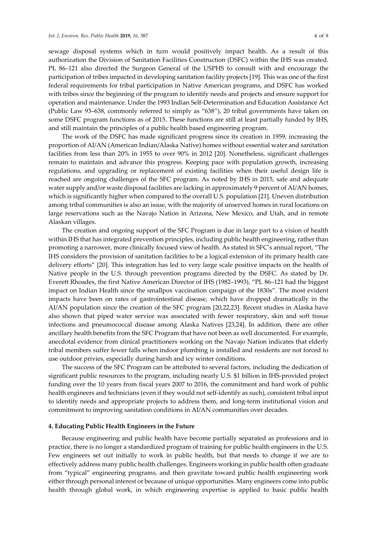sewage disposal systems which in turn would positively impact health. As a result of this authorization the Division of Sanitation Facilities Construction (DSFC) within the IHS was created. PL 86–121 also directed the Surgeon General of the USPHS to consult with and encourage the participation of tribes impacted in developing sanitation facility projects [19]. This was one of the first federal requirements for tribal participation in Native American programs, and DSFC has worked with tribes since the beginning of the program to identify needs and projects and ensure support for operation and maintenance. Under the 1993 Indian Self-Determination and Education Assistance Act (Public Law 93–638, commonly referred to simply as "638"), 20 tribal governments have taken on some DSFC program functions as of 2015. These functions are still at least partially funded by IHS, and still maintain the principles of a public health based engineering program.

The work of the DSFC has made significant progress since its creation in 1959, increasing the proportion of AI/AN (American Indian/Alaska Native) homes without essential water and sanitation facilities from less than 20% in 1955 to over 90% in 2012 [20]. Nonetheless, significant challenges remain to maintain and advance this progress. Keeping pace with population growth, increasing regulations, and upgrading or replacement of existing facilities when their useful design life is reached are ongoing challenges of the SFC program. As noted by IHS in 2015, safe and adequate water supply and/or waste disposal facilities are lacking in approximately 9 percent of AI/AN homes, which is significantly higher when compared to the overall U.S. population [21]. Uneven distribution among tribal communities is also an issue, with the majority of unserved homes in rural locations on large reservations such as the Navajo Nation in Arizona, New Mexico, and Utah, and in remote Alaskan villages.

The creation and ongoing support of the SFC Program is due in large part to a vision of health within IHS that has integrated prevention principles, including public health engineering, rather than promoting a narrower, more clinically focused view of health. As stated in SFC's annual report, "The IHS considers the provision of sanitation facilities to be a logical extension of its primary health care delivery efforts" [20]. This integration has led to very large scale positive impacts on the health of Native people in the U.S. through prevention programs directed by the DSFC. As stated by Dr. Everett Rhoades, the first Native American Director of IHS (1982–1993), "PL 86–121 had the biggest impact on Indian Health since the smallpox vaccination campaign of the 1830s". The most evident impacts have been on rates of gastrointestinal disease, which have dropped dramatically in the AI/AN population since the creation of the SFC program [20,22,23]. Recent studies in Alaska have also shown that piped water service was associated with fewer respiratory, skin and soft tissue infections and pneumococcal disease among Alaska Natives [23,24]. In addition, there are other ancillary health benefits from the SFC Program that have not been as well documented. For example, anecdotal evidence from clinical practitioners working on the Navajo Nation indicates that elderly tribal members suffer fewer falls when indoor plumbing is installed and residents are not forced to use outdoor privies, especially during harsh and icy winter conditions.

The success of the SFC Program can be attributed to several factors, including the dedication of significant public resources to the program, including nearly U.S. \$1 billion in IHS-provided project funding over the 10 years from fiscal years 2007 to 2016, the commitment and hard work of public health engineers and technicians (even if they would not self-identify as such), consistent tribal input to identify needs and appropriate projects to address them, and long-term institutional vision and commitment to improving sanitation conditions in AI/AN communities over decades.

### **4. Educating Public Health Engineers in the Future**

Because engineering and public health have become partially separated as professions and in practice, there is no longer a standardized program of training for public health engineers in the U.S. Few engineers set out initially to work in public health, but that needs to change if we are to effectively address many public health challenges. Engineers working in public health often graduate from "typical" engineering programs, and then gravitate toward public health engineering work either through personal interest or because of unique opportunities. Many engineers come into public health through global work, in which engineering expertise is applied to basic public health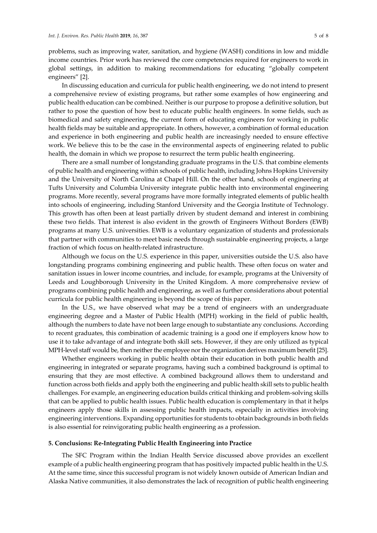problems, such as improving water, sanitation, and hygiene (WASH) conditions in low and middle income countries. Prior work has reviewed the core competencies required for engineers to work in global settings, in addition to making recommendations for educating "globally competent engineers" [2].

In discussing education and curricula for public health engineering, we do not intend to present a comprehensive review of existing programs, but rather some examples of how engineering and public health education can be combined. Neither is our purpose to propose a definitive solution, but rather to pose the question of how best to educate public health engineers. In some fields, such as biomedical and safety engineering, the current form of educating engineers for working in public health fields may be suitable and appropriate. In others, however, a combination of formal education and experience in both engineering and public health are increasingly needed to ensure effective work. We believe this to be the case in the environmental aspects of engineering related to public health, the domain in which we propose to resurrect the term public health engineering.

There are a small number of longstanding graduate programs in the U.S. that combine elements of public health and engineering within schools of public health, including Johns Hopkins University and the University of North Carolina at Chapel Hill. On the other hand, schools of engineering at Tufts University and Columbia University integrate public health into environmental engineering programs. More recently, several programs have more formally integrated elements of public health into schools of engineering, including Stanford University and the Georgia Institute of Technology. This growth has often been at least partially driven by student demand and interest in combining these two fields. That interest is also evident in the growth of Engineers Without Borders (EWB) programs at many U.S. universities. EWB is a voluntary organization of students and professionals that partner with communities to meet basic needs through sustainable engineering projects, a large fraction of which focus on health-related infrastructure.

Although we focus on the U.S. experience in this paper, universities outside the U.S. also have longstanding programs combining engineering and public health. These often focus on water and sanitation issues in lower income countries, and include, for example, programs at the University of Leeds and Loughborough University in the United Kingdom. A more comprehensive review of programs combining public health and engineering, as well as further considerations about potential curricula for public health engineering is beyond the scope of this paper.

In the U.S., we have observed what may be a trend of engineers with an undergraduate engineering degree and a Master of Public Health (MPH) working in the field of public health, although the numbers to date have not been large enough to substantiate any conclusions. According to recent graduates, this combination of academic training is a good one if employers know how to use it to take advantage of and integrate both skill sets. However, if they are only utilized as typical MPH-level staff would be, then neither the employee nor the organization derives maximum benefit [25].

Whether engineers working in public health obtain their education in both public health and engineering in integrated or separate programs, having such a combined background is optimal to ensuring that they are most effective. A combined background allows them to understand and function across both fields and apply both the engineering and public health skill sets to public health challenges. For example, an engineering education builds critical thinking and problem-solving skills that can be applied to public health issues. Public health education is complementary in that it helps engineers apply those skills in assessing public health impacts, especially in activities involving engineering interventions. Expanding opportunities for students to obtain backgrounds in both fields is also essential for reinvigorating public health engineering as a profession.

#### **5. Conclusions: Re-Integrating Public Health Engineering into Practice**

The SFC Program within the Indian Health Service discussed above provides an excellent example of a public health engineering program that has positively impacted public health in the U.S. At the same time, since this successful program is not widely known outside of American Indian and Alaska Native communities, it also demonstrates the lack of recognition of public health engineering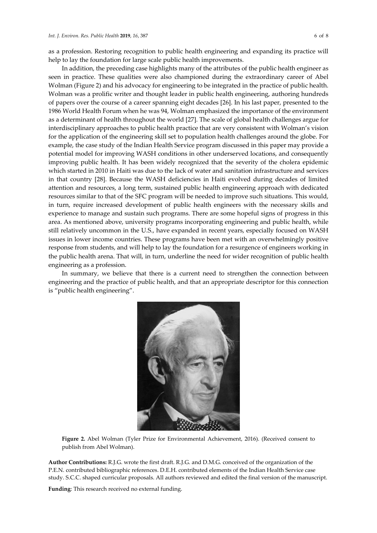as a profession. Restoring recognition to public health engineering and expanding its practice will help to lay the foundation for large scale public health improvements.

In addition, the preceding case highlights many of the attributes of the public health engineer as seen in practice. These qualities were also championed during the extraordinary career of Abel Wolman (Figure 2) and his advocacy for engineering to be integrated in the practice of public health. Wolman was a prolific writer and thought leader in public health engineering, authoring hundreds of papers over the course of a career spanning eight decades [26]. In his last paper, presented to the 1986 World Health Forum when he was 94, Wolman emphasized the importance of the environment as a determinant of health throughout the world [27]. The scale of global health challenges argue for interdisciplinary approaches to public health practice that are very consistent with Wolman's vision for the application of the engineering skill set to population health challenges around the globe. For example, the case study of the Indian Health Service program discussed in this paper may provide a potential model for improving WASH conditions in other underserved locations, and consequently improving public health. It has been widely recognized that the severity of the cholera epidemic which started in 2010 in Haiti was due to the lack of water and sanitation infrastructure and services in that country [28]. Because the WASH deficiencies in Haiti evolved during decades of limited attention and resources, a long term, sustained public health engineering approach with dedicated resources similar to that of the SFC program will be needed to improve such situations. This would, in turn, require increased development of public health engineers with the necessary skills and experience to manage and sustain such programs. There are some hopeful signs of progress in this area. As mentioned above, university programs incorporating engineering and public health, while still relatively uncommon in the U.S., have expanded in recent years, especially focused on WASH issues in lower income countries. These programs have been met with an overwhelmingly positive response from students, and will help to lay the foundation for a resurgence of engineers working in the public health arena. That will, in turn, underline the need for wider recognition of public health engineering as a profession.

In summary, we believe that there is a current need to strengthen the connection between engineering and the practice of public health, and that an appropriate descriptor for this connection is "public health engineering".



**Figure 2.** Abel Wolman (Tyler Prize for Environmental Achievement, 2016). (Received consent to publish from Abel Wolman).

**Author Contributions:** R.J.G. wrote the first draft. R.J.G. and D.M.G. conceived of the organization of the P.E.N. contributed bibliographic references. D.E.H. contributed elements of the Indian Health Service case study. S.C.C. shaped curricular proposals. All authors reviewed and edited the final version of the manuscript.

**Funding**: This research received no external funding.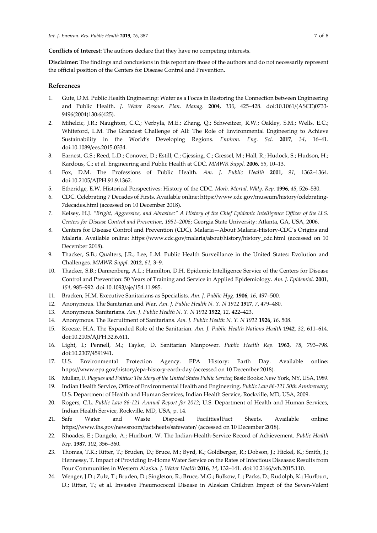**Conflicts of Interest:** The authors declare that they have no competing interests.

**Disclaimer:** The findings and conclusions in this report are those of the authors and do not necessarily represent the official position of the Centers for Disease Control and Prevention.

### **References**

- 1. Gute, D.M. Public Health Engineering: Water as a Focus in Restoring the Connection between Engineering and Public Health. *J. Water Resour. Plan. Manag.* **2004**, *130*, 425–428. doi:10.1061/(ASCE)0733- 9496(2004)130:6(425).
- 2. Mihelcic, J.R.; Naughton, C.C.; Verbyla, M.E.; Zhang, Q.; Schweitzer, R.W.; Oakley, S.M.; Wells, E.C.; Whiteford, L.M. The Grandest Challenge of All: The Role of Environmental Engineering to Achieve Sustainability in the World's Developing Regions. *Environ. Eng. Sci.* **2017**, *34*, 16–41. doi:10.1089/ees.2015.0334.
- 3. Earnest, G.S.; Reed, L.D.; Conover, D.; Estill, C.; Gjessing, C.; Gressel, M.; Hall, R.; Hudock, S.; Hudson, H.; Kardous, C.; et al. Engineering and Public Health at CDC. *MMWR Suppl.* **2006**, *55*, 10–13.
- 4. Fox, D.M. The Professions of Public Health. *Am. J. Public Health* **2001**, *91*, 1362–1364. doi:10.2105/AJPH.91.9.1362.
- 5. Etheridge, E.W. Historical Perspectives: History of the CDC. *Morb. Mortal. Wkly. Rep.* **1996**, *45*, 526–530.
- 6. CDC. Celebrating 7 Decades of Firsts. Available online: https://www.cdc.gov/museum/history/celebrating-7decades.html (accessed on 10 December 2018).
- 7. Kelsey, H.J. *"Bright, Aggressive, and Abrasive:" A History of the Chief Epidemic Intelligence Officer of the U.S. Centers for Disease Control and Prevention, 1951–2006*; Georgia State University: Atlanta, GA, USA, 2006.
- 8. Centers for Disease Control and Prevention (CDC). Malaria—About Malaria-History-CDC's Origins and Malaria. Available online: https://www.cdc.gov/malaria/about/history/history\_cdc.html (accessed on 10 December 2018).
- 9. Thacker, S.B.; Qualters, J.R.; Lee, L.M. Public Health Surveillance in the United States: Evolution and Challenges. *MMWR Suppl.* **2012**, *61*, 3–9.
- 10. Thacker, S.B.; Dannenberg, A.L.; Hamilton, D.H. Epidemic Intelligence Service of the Centers for Disease Control and Prevention: 50 Years of Training and Service in Applied Epidemiology. *Am. J. Epidemiol.* **2001**, *154*, 985–992. doi:10.1093/aje/154.11.985.
- 11. Bracken, H.M. Executive Sanitarians as Specialists. *Am. J. Public Hyg.* **1906**, *16*, 497–500.
- 12. Anonymous. The Sanitarian and War. *Am. J. Public Health N. Y. N 1912* **1917**, *7*, 479–480.
- 13. Anonymous. Sanitarians. *Am. J. Public Health N. Y. N 1912* **1922**, *12*, 422–423.
- 14. Anonymous. The Recruitment of Sanitarians. *Am. J. Public Health N. Y. N 1912* **1926**, *16*, 508.
- 15. Kroeze, H.A. The Expanded Role of the Sanitarian. *Am. J. Public Health Nations Health* **1942**, *32*, 611–614. doi:10.2105/AJPH.32.6.611.
- 16. Light, I.; Pennell, M.; Taylor, D. Sanitarian Manpower. *Public Health Rep.* **1963**, *78*, 793–798. doi:10.2307/4591941.
- 17. U.S. Environmental Protection Agency. EPA History: Earth Day. Available online: https://www.epa.gov/history/epa-history-earth-day (accessed on 10 December 2018).
- 18. Mullan, F. *Plagues and Politics: The Story of the United States Public Service*; Basic Books: New York, NY, USA, 1989.
- 19. Indian Health Service, Office of Environmental Health and Engineering. *Public Law 86-121 50th Anniversary*; U.S. Department of Health and Human Services, Indian Health Service, Rockville, MD, USA, 2009.
- 20. Rogers, C.L. *Public Law 86-121 Annual Report for 2012*; U.S. Department of Health and Human Services, Indian Health Service, Rockville, MD, USA, p. 14.
- 21. Safe Water and Waste Disposal Facilities|Fact Sheets. Available online: https://www.ihs.gov/newsroom/factsheets/safewater/ (accessed on 10 December 2018).
- 22. Rhoades, E.; Dangelo, A.; Hurlburt, W. The Indian-Health-Service Record of Achievement. *Public Health Rep.* **1987**, *102*, 356–360.
- 23. Thomas, T.K.; Ritter, T.; Bruden, D.; Bruce, M.; Byrd, K.; Goldberger, R.; Dobson, J.; Hickel, K.; Smith, J.; Hennessy, T. Impact of Providing In-Home Water Service on the Rates of Infectious Diseases: Results from Four Communities in Western Alaska. *J. Water Health* **2016**, *14*, 132–141. doi:10.2166/wh.2015.110.
- 24. Wenger, J.D.; Zulz, T.; Bruden, D.; Singleton, R.; Bruce, M.G.; Bulkow, L.; Parks, D.; Rudolph, K.; Hurlburt, D.; Ritter, T.; et al. Invasive Pneumococcal Disease in Alaskan Children Impact of the Seven-Valent